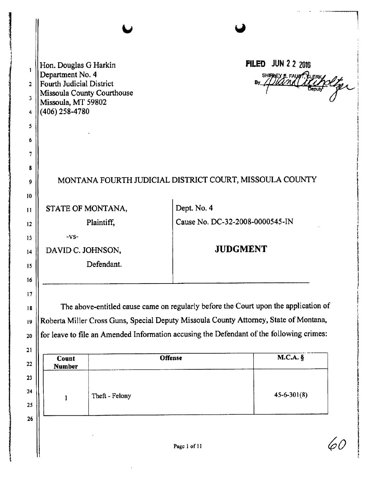| Hon. Douglas G Harkin                        |                            |                                                                                          | <b>FILED JUN 2 2 2018</b>       |  |  |
|----------------------------------------------|----------------------------|------------------------------------------------------------------------------------------|---------------------------------|--|--|
| Department No. 4<br>Fourth Judicial District |                            |                                                                                          | SHIRGEY E FAUSTRIERK<br>By      |  |  |
|                                              | Missoula County Courthouse |                                                                                          |                                 |  |  |
| Missoula, MT 59802<br>$(406)$ 258-4780       |                            |                                                                                          |                                 |  |  |
|                                              |                            |                                                                                          |                                 |  |  |
|                                              |                            |                                                                                          |                                 |  |  |
|                                              |                            |                                                                                          |                                 |  |  |
|                                              |                            |                                                                                          |                                 |  |  |
|                                              |                            | MONTANA FOURTH JUDICIAL DISTRICT COURT, MISSOULA COUNTY                                  |                                 |  |  |
|                                              |                            |                                                                                          |                                 |  |  |
| STATE OF MONTANA,                            |                            | Dept. No. 4                                                                              |                                 |  |  |
|                                              | Plaintiff,                 |                                                                                          | Cause No. DC-32-2008-0000545-IN |  |  |
| $-VS-$                                       |                            |                                                                                          |                                 |  |  |
| DAVID C. JOHNSON,                            |                            |                                                                                          | <b>JUDGMENT</b>                 |  |  |
|                                              | Defendant.                 |                                                                                          |                                 |  |  |
|                                              |                            |                                                                                          |                                 |  |  |
|                                              |                            |                                                                                          |                                 |  |  |
|                                              |                            | The above-entitled cause came on regularly before the Court upon the application of      |                                 |  |  |
|                                              |                            | Roberta Miller Cross Guns, Special Deputy Missoula County Attorney, State of Montana,    |                                 |  |  |
|                                              |                            | for leave to file an Amended Information accusing the Defendant of the following crimes: |                                 |  |  |
|                                              |                            |                                                                                          |                                 |  |  |
| Count<br>Number                              |                            | Offense                                                                                  | M.C.A. §                        |  |  |
|                                              |                            |                                                                                          |                                 |  |  |
|                                              |                            |                                                                                          | $45 - 6 - 301(8)$               |  |  |
|                                              | Theft - Felony             |                                                                                          |                                 |  |  |
| 1                                            |                            |                                                                                          |                                 |  |  |
|                                              |                            |                                                                                          |                                 |  |  |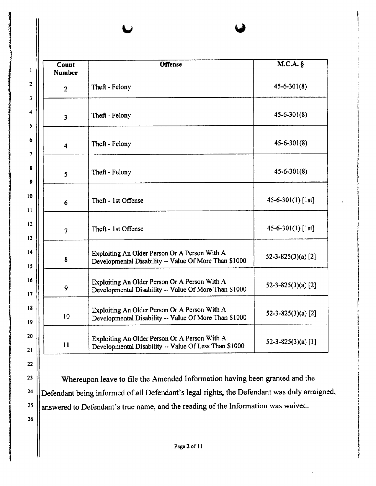| Count<br><b>Number</b>  | <b>Offense</b>                                                                                         | M.C.A. §                 |  |
|-------------------------|--------------------------------------------------------------------------------------------------------|--------------------------|--|
| $\overline{2}$          | Theft - Felony                                                                                         | $45 - 6 - 301(8)$        |  |
| $\overline{\mathbf{3}}$ | Theft - Felony                                                                                         | $45 - 6 - 301(8)$        |  |
| $\overline{4}$          | Theft - Felony                                                                                         | $45 - 6 - 301(8)$        |  |
| 5                       | Theft - Felony                                                                                         | $45 - 6 - 301(8)$        |  |
| $6\phantom{1}$          | Theft - 1st Offense                                                                                    | $45 - 6 - 301(1)$ [1st]  |  |
| $\overline{7}$          | Theft - 1st Offense                                                                                    | $45-6-301(1)$ [1st]      |  |
| 8                       | Exploiting An Older Person Or A Person With A<br>Developmental Disability -- Value Of More Than \$1000 | 52-3-825(3)(a) $[2]$     |  |
| 9                       | Exploiting An Older Person Or A Person With A<br>Developmental Disability -- Value Of More Than \$1000 | $52 - 3 - 825(3)(a)$ [2] |  |
| 10                      | Exploiting An Older Person Or A Person With A<br>Developmental Disability -- Value Of More Than \$1000 |                          |  |
| 11                      | Exploiting An Older Person Or A Person With A<br>Developmental Disability -- Value Of Less Than \$1000 |                          |  |

l0  $\mathbf{1}$ t2

t6 17  $18$ l9 20

> 24 ?5

26

 $22$ 

23

Whereupon leave to file the Amended Inforrnation having been granted and the Defendant being informed of all Defendant's legal rights, the Defendant was duly arraigned, answered to Defendant's true name, and the reading of the Information was waived.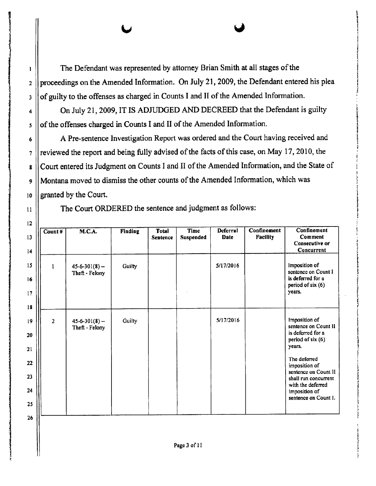I 2 3 The Defendant was represented by attorney Brian Smith at all stages of the proceedings on the Amended Information. On July 21,2009, the Defendant entered his plea of guilty to the offenses as charged in Counts I and II of the Amended Information. <sup>i</sup>

I

i

I

U ia,

On July 21, 2009, IT IS ADJUDGED AND DECREED that the Defendant is guilty of the offenses charged in Counts I and II of the Amended Information.

6 7 8 9 l0 <sup>A</sup>Pre-sentence Investigation Report was ordered and the Court having received and <sup>i</sup> reviewed the report and being fully advised of the facts of this case, on May 17, 2010, the Court entered its Judgment on Counts I and II of the Amended Information, and the State of Montana moved to dismiss the other counts of the Arnended Information, which was granted by the Court.

The Court ORDERED the sentence and judgment as follows:

4

5

lt

| Count#         | M.C.A.                                | <b>Finding</b> | <b>Total</b><br>Seutence | Time<br>Suspended | Deferral<br>Date | Confinement<br><b>Facility</b> | Confinement<br>Comment<br>Consecutive or<br>Concurrent                                                                     |
|----------------|---------------------------------------|----------------|--------------------------|-------------------|------------------|--------------------------------|----------------------------------------------------------------------------------------------------------------------------|
| $\mathbf{1}$   | $45 - 6 - 301(8) -$<br>Theft - Felony | Guilty         |                          |                   | 5/17/2016        |                                | Imposition of<br>sentence on Count I<br>is deferred for a<br>period of six (6)<br>years.                                   |
| $\overline{2}$ | $45 - 6 - 301(8) -$<br>Theft - Felony | Guilty         |                          |                   | 5/17/2016        |                                | Imposition of<br>sentence on Count II<br>is deferred for a<br>period of six (6)<br>years.<br>The deferred<br>imposition of |
|                |                                       |                |                          |                   |                  |                                | sentence on Count II<br>shall run concurrent<br>with the deferred<br>imposition of<br>sentence on Count I.                 |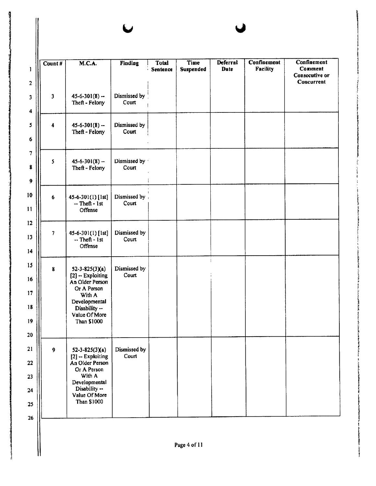| Count#               | M.C.A.                                                                                                                                                    | <b>Finding</b>         | <b>Total</b><br><b>Sentence</b> | Time<br>Suspended | Deferral<br>Date | Confinement<br><b>Facility</b> | Confinement<br>Comment<br>Consecutive or<br>Concurrent |
|----------------------|-----------------------------------------------------------------------------------------------------------------------------------------------------------|------------------------|---------------------------------|-------------------|------------------|--------------------------------|--------------------------------------------------------|
| 3                    | $45 - 6 - 301(8) -$<br>Theft - Felony                                                                                                                     | Dismissed by<br>Court  |                                 |                   |                  |                                |                                                        |
| $\ddot{\phantom{1}}$ | $45-6-301(8) -$<br>Theft - Felony                                                                                                                         | Dismissed by<br>Court  |                                 |                   |                  |                                |                                                        |
| 5                    | $45-6-301(8) -$<br>Theft - Felony                                                                                                                         | Dismissed by<br>Court  |                                 |                   |                  |                                |                                                        |
| $6\phantom{1}$       | 45-6-301(1) [1st]<br>$-$ Theft $\cdot$ 1st<br>Offense                                                                                                     | Dismissed by,<br>Court |                                 |                   |                  |                                |                                                        |
| $7\phantom{.}$       | $45-6-301(1)$ [1st]<br>-- Theft - 1st<br>Offense                                                                                                          | Dismissed by<br>Court  |                                 |                   |                  |                                |                                                        |
| ${\bf 8}$            | $52 - 3 - 825(3)(a)$<br>$[2]$ -- Exploiting<br>An Older Person<br>Or A Person<br>With A<br>Developmental<br>Disability --<br>Value Of More<br>Than \$1000 | Dismissed by<br>Court  |                                 |                   |                  |                                |                                                        |
| $\boldsymbol{9}$     | $52 - 3 - 825(3)(a)$<br>[2] -- Exploiting<br>An Older Person<br>Or A Person<br>With A<br>Developmental<br>Disability --<br>Value Of More<br>Than \$1000   | Dismissed by<br>Court  |                                 |                   |                  |                                |                                                        |

Ш

**CONGRAN**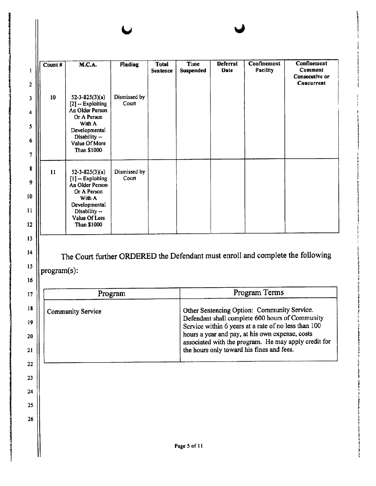|             | M.C.A.                                                                                                                                                         | Finding               | Total<br><b>Sentence</b> | Time<br>Suspended | <b>Deferral</b><br><b>Date</b> | Confinement<br>Facility                                                                                                                                                                                                                                                                                        | Confinement<br>Comment<br>Consecutive or<br>Concurrent |
|-------------|----------------------------------------------------------------------------------------------------------------------------------------------------------------|-----------------------|--------------------------|-------------------|--------------------------------|----------------------------------------------------------------------------------------------------------------------------------------------------------------------------------------------------------------------------------------------------------------------------------------------------------------|--------------------------------------------------------|
| 10          | $52 - 3 - 825(3)(a)$<br>[2] -- Exploiting<br>An Older Person<br>Or A Person<br>With A<br>Developmental<br>Disability --<br>Value Of More<br><b>Than \$1000</b> | Dismissed by<br>Court |                          |                   |                                |                                                                                                                                                                                                                                                                                                                |                                                        |
| 11          | $52 - 3 - 825(3)(a)$<br>[1] -- Exploiting<br>An Older Person<br>Or A Person<br>With A<br>Developmental<br>Disability --<br>Value Of Less<br><b>Than \$1000</b> | Dismissed by<br>Court |                          |                   |                                |                                                                                                                                                                                                                                                                                                                |                                                        |
|             | The Court further ORDERED the Defendant must enroll and complete the following                                                                                 |                       |                          |                   |                                |                                                                                                                                                                                                                                                                                                                |                                                        |
| program(s): |                                                                                                                                                                |                       |                          |                   |                                |                                                                                                                                                                                                                                                                                                                |                                                        |
|             |                                                                                                                                                                | Program               |                          |                   |                                | Program Terms                                                                                                                                                                                                                                                                                                  |                                                        |
|             | <b>Community Service</b>                                                                                                                                       |                       |                          |                   |                                | Other Sentencing Option: Community Service.<br>Defendant shall complete 600 hours of Community<br>Service within 6 years at a rate of no less than 100<br>hours a year and pay, at his own expense, costs<br>associated with the program. He may apply credit for<br>the hours only toward his fines and fees. |                                                        |
|             |                                                                                                                                                                |                       |                          |                   |                                |                                                                                                                                                                                                                                                                                                                |                                                        |

**Andrew Miller**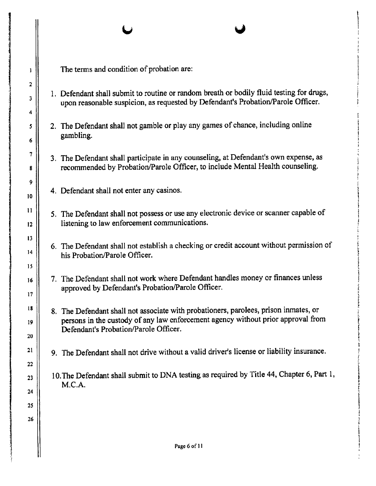The terms and condition of probation are:

t,

- 1, Defendant shall submit to routine or random breath or bodily fluid testing for drugs, upon reasonable suspicion, as requested by Defendant's Probation/Parole Officer.
- 2. The Defendant shall not gamble or play any games of chance, including online gambling.
- 3. The Defendant shall participate in any counseling, at Defendant's own expense, as recommended by Probation/Parole Officer, to include Mental Health counseling.
- 4. Defendant shall not enter any casinos.
- 5. The Defendant shall not possess or use any electronic device or scanner capable of listening to law enforcement communications.
- 6. The Defendant shall not establish a checking or credit account without permission of his Probation/Parole Officer.
- 7. The Defendant shall not work where Defendant handles money or finances unless approved by Defendant's Probation/Parole Officer.
- 8, The Defendant shall not associate with probationers, parolees, prison inmates, or pcrsons in the custody of any law enforcement agency without prior approval frorn Defendant's Probation/Parole Officer.
- 9. The Defendant shall not drive without a valid drivet's license or liability insurance.
- 10. The Defendant shall submit to DNA testing as required by Title 44, Chapter 6, Part 1, M.C.A.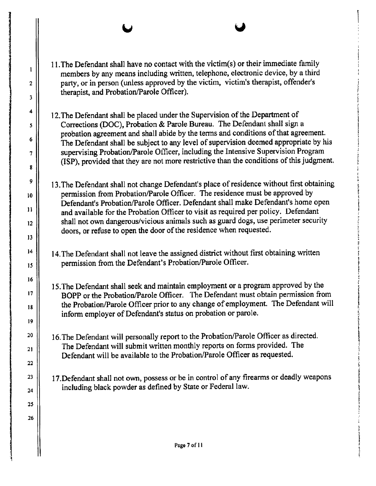1l.The Defendant shall have no conlact with the victim(s) or their immediate family members by any means including written, telephone, electronic device, by a third party, or in person (unless approved by the victim, victim's therapist, offender's therapist, and Probation/Parole Officer).

1

 $\overline{2}$ 

 $\overline{\mathbf{3}}$ 

4

 $\mathbf{5}$ 

6

 $\overline{7}$ 

8

9

 $10$ 

 $11$ 

 $12$ 

 $13$ 

 $14$ 

 $15$ 

 $16$ 

 $17$ 

18

19

20

 $21$ 

22

23

24

25

26

- 12. The Defendant shall be placed under the Supervision of the Department of Corrections (DOC), Probation & Parole Bureau. The Defendant shall sign a probation agreement and shall abide by the terms and conditions of that agreement. The Defendant shall be subject to any level of supervision deerned appropriate by his supervising Probation/Parole Officer, including the Intensive Supervision Program (ISP), provided that they are not more restrictive than the conditions of this judgnent,
- l3.The Defendant shall not change Del'endant's place of residence without first obtaining permission from Probation/Parole Officer. The residence musf be approved by Defendant's Probation/Parole Officer. Defendant shall make Defendant's home open and available for the Probation Officer to visit as required per policy. Defendant shall not own dangerous/vicious animals such as guard dogs, use perimeter security doors, or refuse to open the door of the residence when requested.
- l4.The Defendant shall not leave the assigned district without first obtaining written permission from the Defendant's Probation/Parole Officer.
- 15.The Defendant shall seek and maintain employment or a program approved by the BOPP or the Probation/Parole Officer. The Defendant must obtain permission from the Probation/Parole Officer prior to any change of employment. The Defendant will inform employer of Defendant's status on probation or parole.
- 16.The Defendant will personally report to the Probation/Parole Officer as directed. The Defendant will submit written rnonthly reports on forms provided. The Defendant will be available to the Probation/Parole Officer as requested.
- lT.Defendant shall not own, possess or be in control of any firearms or deadly weapons including black powder as defined by State or Federal law-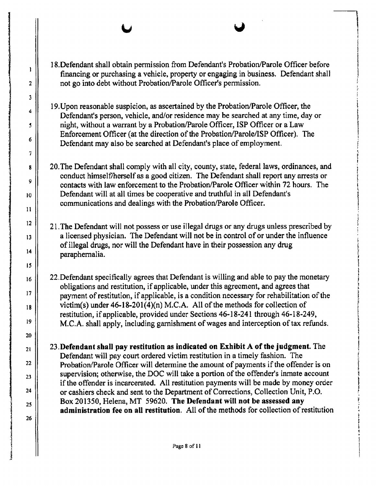- $\mathbf{I}$  $\overline{2}$  $\mathbf{3}$ 4  $\overline{\mathbf{5}}$ 6 7 8 9 10  $11$  $12$  $13$  $14$  $15$ 16  $17$ 18  $19$ 20  $21$ 22  $23$ 24 25 26
- lS.Defendant shall obtain permission from Defendant's Probation/Parole Officer before financing or purchasing a vehicle, property or engaging in business. Defendant shall not go into debt without Probation/Parole Officer's permission.
- 19. Upon reasonable suspicion, as ascertained by the Probation/Parole Officer, the Defendant's person, vehicle, and/or residence may be searched at any time, day or night, without a warrant by a Probation/Parole Officer, ISP Officer or a Law Enforcement Officer (at the direction of the Probation/Parole/ISP Officer). The Defendant may also be searched at Defendant's place of employment.
- 20.The Defendant shall comply with all city, county, state, federal laws, ordinances, and conduct himself/herself as a good citizen. The Defendant shall report any arrests or contacts with law enforcement to the Probation/Parole Officer within 72 hours. The Defendant will at all times be cooperative and truthful in all Defendant's communications and dealings with the Probation/Parole Officer.
- 21.The Defendant will not possess or use illegal drugs or any drugs unless prescribed by a licensed physician. The Defendant will not be in control of or under the influence of illegal drugs, nor will the Defendant have in their possession any drug paraphernalia.
- 22,Defendant specifically agrees that Defendant is willing and able to pay the monetary obligations and restitution, if applicable, under this agreement, and agees that payrnent of restitution, if applicable, is a condition necessary for rehabilitation of the victim(s) under  $46-18-201(4)(n)$  M.C.A. All of the methods for collection of restitution, if applicable, provided under Sections 46-18-241 through 46-18-249, M.C.A, shall apply, including garnishment of wages and interception of tax refunds.
- 23,Defendant shall pay restitution as indicated on Exhibit A of the judgment. The Defendant will pay court ordered victim restitution in a timely fashion. The Probation/Parole Officer will determine the amount of payments if the offender is on supervision; otherwise, the DOC will take a portion of the offender's inmate account if the offender is incarcerated. All restitution payments will be made by money order or cashiers check and sent to the Department of Corrections, Collection Unit, P.O. Box 201350, Helena, MT 59620. The Defendant will not be assessed any administration fee on all restitution. All of the methods for collection of restitution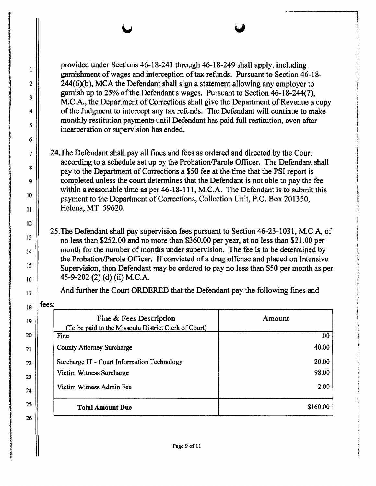provided under Sections 46-18-241 through 46-18-249 shall apply, including gamishment of wages and interception of tax refunds. Pursuant to Section 46-18-  $244(6)(b)$ , MCA the Defendant shall sign a statement allowing any employer to gamish up to 25% of the Defendant's wages. Pursuant to Section 46-18-244(7), M.C.A., the Department of Corrections shall give the Departrnent of Revenue a copy of the Judgment to intercept any tax refunds. The Defendant will continue to make monthly restitution payments until Defendant has paid futl restitution, even after incarceration or supervision has ended.

t,

- 24. The Defendant shall pay all fines and fees as ordered and directed by the Court according to a schedule set up by the Probation/Parole Officer. The Defendant shall pay to the Depanment of Corrections a \$50 fee at the time that the PSI report is completed unless the court determines that the Defendant is not able to pay the fee within a reasonable time as per  $46-18-111$ , M.C.A. The Defendant is to submit this payment to the Department of Corrections, Collection Unit, P.O. Box 201350, Helena, MT 59620.
- 25.The Defendant shall pay supervision fees pursuant to Section 46-23-1031, M.C,A, of no less than \$252.00 and no more than \$360.00 per year, at no less than \$21.00 per month for the number of months under supervision. The fee is to be determined by the Probation/Parole Officer. If convicted of a drug offense and placed on Intensive Supervision, then Defendant may be ordered to pay no less than \$50 per month as per 45-e-202 (2) (d) (ii) M.C.A,

And further the Court ORDERED that the Defendant pay the following fines and

## $\|$ <sub>18</sub> || fees:

 $\mathbf{1}$ 

 $\mathbf{2}$ 

 $\overline{\mathbf{3}}$ 

4

 ${\bf 5}$ 

6

7

8

9

10

 $\bf{11}$ 

 $12$ 

 $13$ 

 $14$ 

15

16

 $17$ 

19

20

21

22

23

24

| Fine & Fees Description<br>(To be paid to the Missoula District Clerk of Court) | Amount   |
|---------------------------------------------------------------------------------|----------|
| Fine                                                                            | .00      |
| County Attorney Surcharge                                                       | 40.00    |
| Surcharge IT - Court Information Technology                                     | 20.00    |
| Victim Witness Surcharge                                                        | 98.00    |
| Victim Witness Admin Fee                                                        | 2.00     |
| <b>Total Amount Due</b>                                                         | \$160,00 |

25 26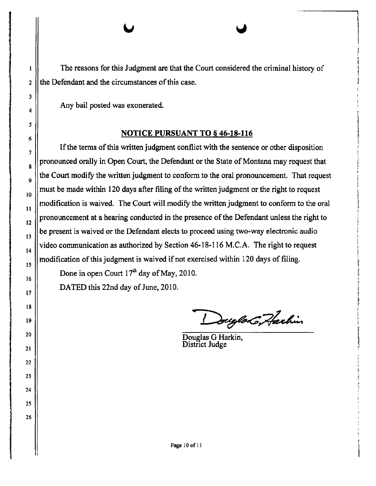The reasons for this Judgment are that the Court considered the criminal history of the Defendant and the circumstances of this case.

Any bail posted was exonerated.

## NOTICE PURSUANT TO § 46-18-116

If the terms of this written judgment conflict with the sentence or other disposition pronounced orally in Open Court, the Defendant or the State of Montana may request that the Court modify the wriften judgment to conform to the oral pronouncement. That request must be made within 120 days after filing of the written judgment or the right to request modification is waived. The Court will modify the written judgment to conform to the oral pronouncement at a hearing conducted in the presence of the Defendant unless the right to be present is waived or the Defendant elects to proceed using two-way electronic audio video comrnunication as authorized by Section 46-18-l l6 M.C.A. The right to request modification of this judgment is waived if not exercised within 120 days of filing.

Done in open Court  $17<sup>th</sup>$  day of May, 2010.

DATED this 22nd day of June, 2010.

Douglor G. Harhin

Douglas G Harkin, District Judge

I

2

3

4

5

6

7

8

9

l0

il

l2

l3

t4

l5

l6

t7

l8

l9

20

2l

22

23

24

25

26